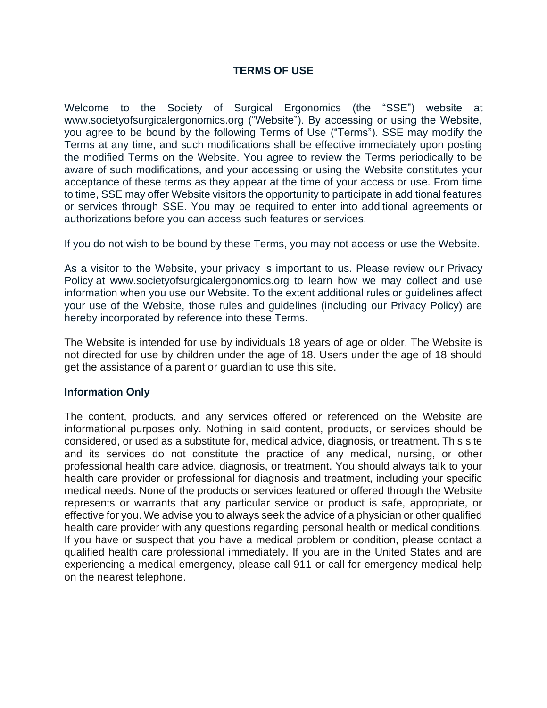# **TERMS OF USE**

Welcome to the Society of Surgical Ergonomics (the "SSE") website at www.societyofsurgicalergonomics.org ("Website"). By accessing or using the Website, you agree to be bound by the following Terms of Use ("Terms"). SSE may modify the Terms at any time, and such modifications shall be effective immediately upon posting the modified Terms on the Website. You agree to review the Terms periodically to be aware of such modifications, and your accessing or using the Website constitutes your acceptance of these terms as they appear at the time of your access or use. From time to time, SSE may offer Website visitors the opportunity to participate in additional features or services through SSE. You may be required to enter into additional agreements or authorizations before you can access such features or services.

If you do not wish to be bound by these Terms, you may not access or use the Website.

As a visitor to the Website, your privacy is important to us. Please review our Privacy Policy at www.societyofsurgicalergonomics.org to learn how we may collect and use information when you use our Website. To the extent additional rules or guidelines affect your use of the Website, those rules and guidelines (including our Privacy Policy) are hereby incorporated by reference into these Terms.

The Website is intended for use by individuals 18 years of age or older. The Website is not directed for use by children under the age of 18. Users under the age of 18 should get the assistance of a parent or guardian to use this site.

# **Information Only**

The content, products, and any services offered or referenced on the Website are informational purposes only. Nothing in said content, products, or services should be considered, or used as a substitute for, medical advice, diagnosis, or treatment. This site and its services do not constitute the practice of any medical, nursing, or other professional health care advice, diagnosis, or treatment. You should always talk to your health care provider or professional for diagnosis and treatment, including your specific medical needs. None of the products or services featured or offered through the Website represents or warrants that any particular service or product is safe, appropriate, or effective for you. We advise you to always seek the advice of a physician or other qualified health care provider with any questions regarding personal health or medical conditions. If you have or suspect that you have a medical problem or condition, please contact a qualified health care professional immediately. If you are in the United States and are experiencing a medical emergency, please call 911 or call for emergency medical help on the nearest telephone.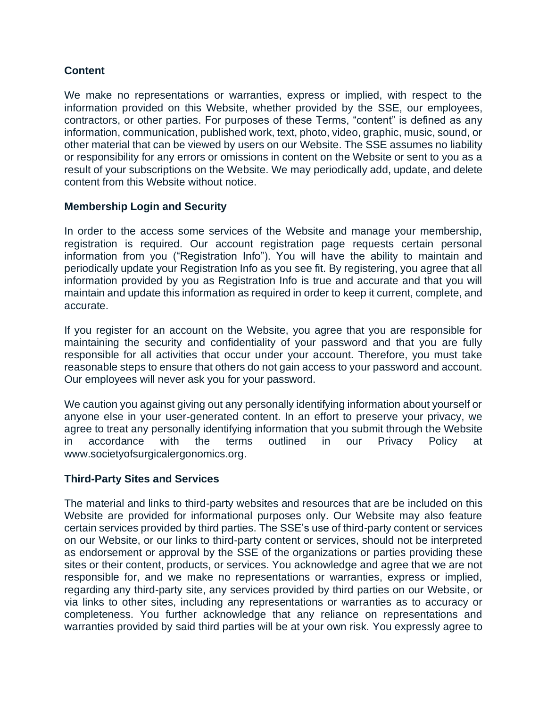# **Content**

We make no representations or warranties, express or implied, with respect to the information provided on this Website, whether provided by the SSE, our employees, contractors, or other parties. For purposes of these Terms, "content" is defined as any information, communication, published work, text, photo, video, graphic, music, sound, or other material that can be viewed by users on our Website. The SSE assumes no liability or responsibility for any errors or omissions in content on the Website or sent to you as a result of your subscriptions on the Website. We may periodically add, update, and delete content from this Website without notice.

# **Membership Login and Security**

In order to the access some services of the Website and manage your membership, registration is required. Our account registration page requests certain personal information from you ("Registration Info"). You will have the ability to maintain and periodically update your Registration Info as you see fit. By registering, you agree that all information provided by you as Registration Info is true and accurate and that you will maintain and update this information as required in order to keep it current, complete, and accurate.

If you register for an account on the Website, you agree that you are responsible for maintaining the security and confidentiality of your password and that you are fully responsible for all activities that occur under your account. Therefore, you must take reasonable steps to ensure that others do not gain access to your password and account. Our employees will never ask you for your password.

We caution you against giving out any personally identifying information about yourself or anyone else in your user-generated content. In an effort to preserve your privacy, we agree to treat any personally identifying information that you submit through the Website in accordance with the terms outlined in our Privacy Policy at www.societyofsurgicalergonomics.org.

# **Third-Party Sites and Services**

The material and links to third-party websites and resources that are be included on this Website are provided for informational purposes only. Our Website may also feature certain services provided by third parties. The SSE's use of third-party content or services on our Website, or our links to third-party content or services, should not be interpreted as endorsement or approval by the SSE of the organizations or parties providing these sites or their content, products, or services. You acknowledge and agree that we are not responsible for, and we make no representations or warranties, express or implied, regarding any third-party site, any services provided by third parties on our Website, or via links to other sites, including any representations or warranties as to accuracy or completeness. You further acknowledge that any reliance on representations and warranties provided by said third parties will be at your own risk. You expressly agree to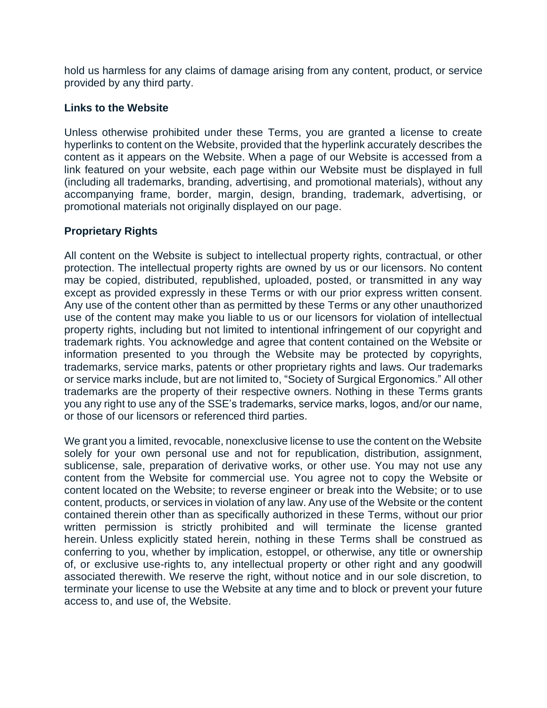hold us harmless for any claims of damage arising from any content, product, or service provided by any third party.

## **Links to the Website**

Unless otherwise prohibited under these Terms, you are granted a license to create hyperlinks to content on the Website, provided that the hyperlink accurately describes the content as it appears on the Website. When a page of our Website is accessed from a link featured on your website, each page within our Website must be displayed in full (including all trademarks, branding, advertising, and promotional materials), without any accompanying frame, border, margin, design, branding, trademark, advertising, or promotional materials not originally displayed on our page.

# **Proprietary Rights**

All content on the Website is subject to intellectual property rights, contractual, or other protection. The intellectual property rights are owned by us or our licensors. No content may be copied, distributed, republished, uploaded, posted, or transmitted in any way except as provided expressly in these Terms or with our prior express written consent. Any use of the content other than as permitted by these Terms or any other unauthorized use of the content may make you liable to us or our licensors for violation of intellectual property rights, including but not limited to intentional infringement of our copyright and trademark rights. You acknowledge and agree that content contained on the Website or information presented to you through the Website may be protected by copyrights, trademarks, service marks, patents or other proprietary rights and laws. Our trademarks or service marks include, but are not limited to, "Society of Surgical Ergonomics." All other trademarks are the property of their respective owners. Nothing in these Terms grants you any right to use any of the SSE's trademarks, service marks, logos, and/or our name, or those of our licensors or referenced third parties.

We grant you a limited, revocable, nonexclusive license to use the content on the Website solely for your own personal use and not for republication, distribution, assignment, sublicense, sale, preparation of derivative works, or other use. You may not use any content from the Website for commercial use. You agree not to copy the Website or content located on the Website; to reverse engineer or break into the Website; or to use content, products, or services in violation of any law. Any use of the Website or the content contained therein other than as specifically authorized in these Terms, without our prior written permission is strictly prohibited and will terminate the license granted herein. Unless explicitly stated herein, nothing in these Terms shall be construed as conferring to you, whether by implication, estoppel, or otherwise, any title or ownership of, or exclusive use-rights to, any intellectual property or other right and any goodwill associated therewith. We reserve the right, without notice and in our sole discretion, to terminate your license to use the Website at any time and to block or prevent your future access to, and use of, the Website.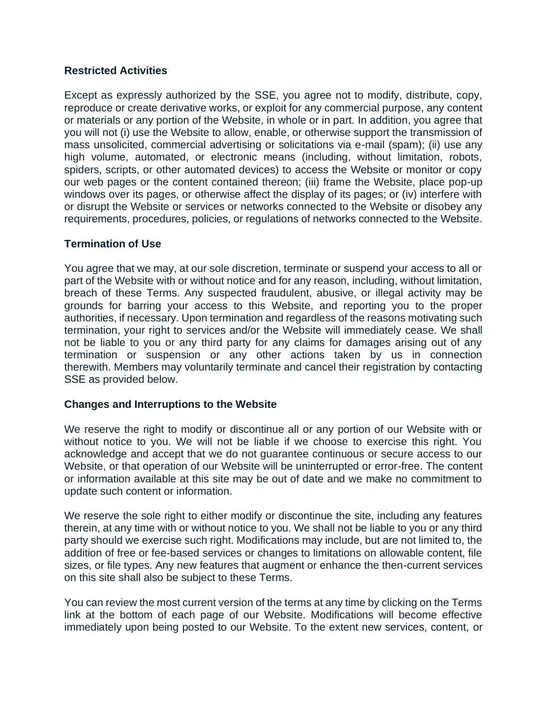# **Restricted Activities**

Except as expressly authorized by the SSE, you agree not to modify, distribute, copy, reproduce or create derivative works, or exploit for any commercial purpose, any content or materials or any portion of the Website, in whole or in part. In addition, you agree that you will not (i) use the Website to allow, enable, or otherwise support the transmission of mass unsolicited, commercial advertising or solicitations via e-mail (spam); (ii) use any high volume, automated, or electronic means (including, without limitation, robots, spiders, scripts, or other automated devices) to access the Website or monitor or copy our web pages or the content contained thereon; (iii) frame the Website, place pop-up windows over its pages, or otherwise affect the display of its pages; or (iv) interfere with or disrupt the Website or services or networks connected to the Website or disobey any requirements, procedures, policies, or regulations of networks connected to the Website.

## **Termination of Use**

You agree that we may, at our sole discretion, terminate or suspend your access to all or part of the Website with or without notice and for any reason, including, without limitation, breach of these Terms. Any suspected fraudulent, abusive, or illegal activity may be grounds for barring your access to this Website, and reporting you to the proper authorities, if necessary. Upon termination and regardless of the reasons motivating such termination, your right to services and/or the Website will immediately cease. We shall not be liable to you or any third party for any claims for damages arising out of any termination or suspension or any other actions taken by us in connection therewith. Members may voluntarily terminate and cancel their registration by contacting SSE as provided below.

### **Changes and Interruptions to the Website**

We reserve the right to modify or discontinue all or any portion of our Website with or without notice to you. We will not be liable if we choose to exercise this right. You acknowledge and accept that we do not guarantee continuous or secure access to our Website, or that operation of our Website will be uninterrupted or error-free. The content or information available at this site may be out of date and we make no commitment to update such content or information.

We reserve the sole right to either modify or discontinue the site, including any features therein, at any time with or without notice to you. We shall not be liable to you or any third party should we exercise such right. Modifications may include, but are not limited to, the addition of free or fee-based services or changes to limitations on allowable content, file sizes, or file types. Any new features that augment or enhance the then-current services on this site shall also be subject to these Terms.

You can review the most current version of the terms at any time by clicking on the Terms link at the bottom of each page of our Website. Modifications will become effective immediately upon being posted to our Website. To the extent new services, content, or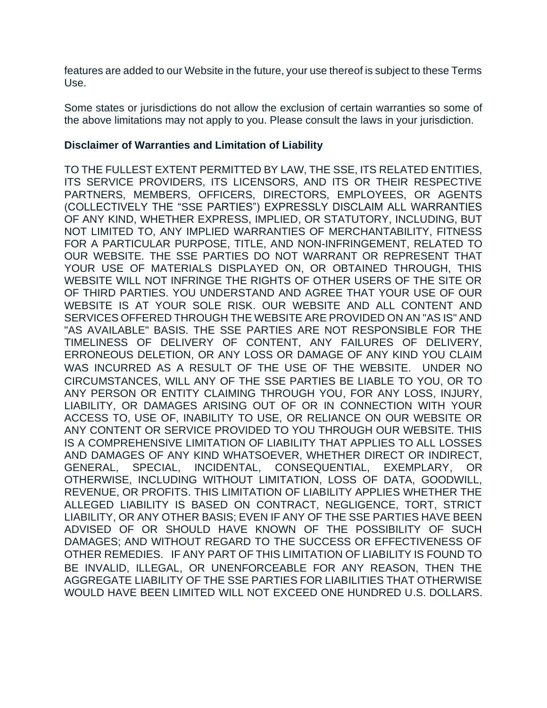features are added to our Website in the future, your use thereof is subject to these Terms Use.

Some states or jurisdictions do not allow the exclusion of certain warranties so some of the above limitations may not apply to you. Please consult the laws in your jurisdiction.

## **Disclaimer of Warranties and Limitation of Liability**

TO THE FULLEST EXTENT PERMITTED BY LAW, THE SSE, ITS RELATED ENTITIES, ITS SERVICE PROVIDERS, ITS LICENSORS, AND ITS OR THEIR RESPECTIVE PARTNERS, MEMBERS, OFFICERS, DIRECTORS, EMPLOYEES, OR AGENTS (COLLECTIVELY THE "SSE PARTIES") EXPRESSLY DISCLAIM ALL WARRANTIES OF ANY KIND, WHETHER EXPRESS, IMPLIED, OR STATUTORY, INCLUDING, BUT NOT LIMITED TO, ANY IMPLIED WARRANTIES OF MERCHANTABILITY, FITNESS FOR A PARTICULAR PURPOSE, TITLE, AND NON-INFRINGEMENT, RELATED TO OUR WEBSITE. THE SSE PARTIES DO NOT WARRANT OR REPRESENT THAT YOUR USE OF MATERIALS DISPLAYED ON, OR OBTAINED THROUGH, THIS WEBSITE WILL NOT INFRINGE THE RIGHTS OF OTHER USERS OF THE SITE OR OF THIRD PARTIES. YOU UNDERSTAND AND AGREE THAT YOUR USE OF OUR WEBSITE IS AT YOUR SOLE RISK. OUR WEBSITE AND ALL CONTENT AND SERVICES OFFERED THROUGH THE WEBSITE ARE PROVIDED ON AN "AS IS" AND "AS AVAILABLE" BASIS. THE SSE PARTIES ARE NOT RESPONSIBLE FOR THE TIMELINESS OF DELIVERY OF CONTENT, ANY FAILURES OF DELIVERY, ERRONEOUS DELETION, OR ANY LOSS OR DAMAGE OF ANY KIND YOU CLAIM WAS INCURRED AS A RESULT OF THE USE OF THE WEBSITE. UNDER NO CIRCUMSTANCES, WILL ANY OF THE SSE PARTIES BE LIABLE TO YOU, OR TO ANY PERSON OR ENTITY CLAIMING THROUGH YOU, FOR ANY LOSS, INJURY, LIABILITY, OR DAMAGES ARISING OUT OF OR IN CONNECTION WITH YOUR ACCESS TO, USE OF, INABILITY TO USE, OR RELIANCE ON OUR WEBSITE OR ANY CONTENT OR SERVICE PROVIDED TO YOU THROUGH OUR WEBSITE. THIS IS A COMPREHENSIVE LIMITATION OF LIABILITY THAT APPLIES TO ALL LOSSES AND DAMAGES OF ANY KIND WHATSOEVER, WHETHER DIRECT OR INDIRECT, GENERAL, SPECIAL, INCIDENTAL, CONSEQUENTIAL, EXEMPLARY, OR OTHERWISE, INCLUDING WITHOUT LIMITATION, LOSS OF DATA, GOODWILL, REVENUE, OR PROFITS. THIS LIMITATION OF LIABILITY APPLIES WHETHER THE ALLEGED LIABILITY IS BASED ON CONTRACT, NEGLIGENCE, TORT, STRICT LIABILITY, OR ANY OTHER BASIS; EVEN IF ANY OF THE SSE PARTIES HAVE BEEN ADVISED OF OR SHOULD HAVE KNOWN OF THE POSSIBILITY OF SUCH DAMAGES; AND WITHOUT REGARD TO THE SUCCESS OR EFFECTIVENESS OF OTHER REMEDIES. IF ANY PART OF THIS LIMITATION OF LIABILITY IS FOUND TO BE INVALID, ILLEGAL, OR UNENFORCEABLE FOR ANY REASON, THEN THE AGGREGATE LIABILITY OF THE SSE PARTIES FOR LIABILITIES THAT OTHERWISE WOULD HAVE BEEN LIMITED WILL NOT EXCEED ONE HUNDRED U.S. DOLLARS.